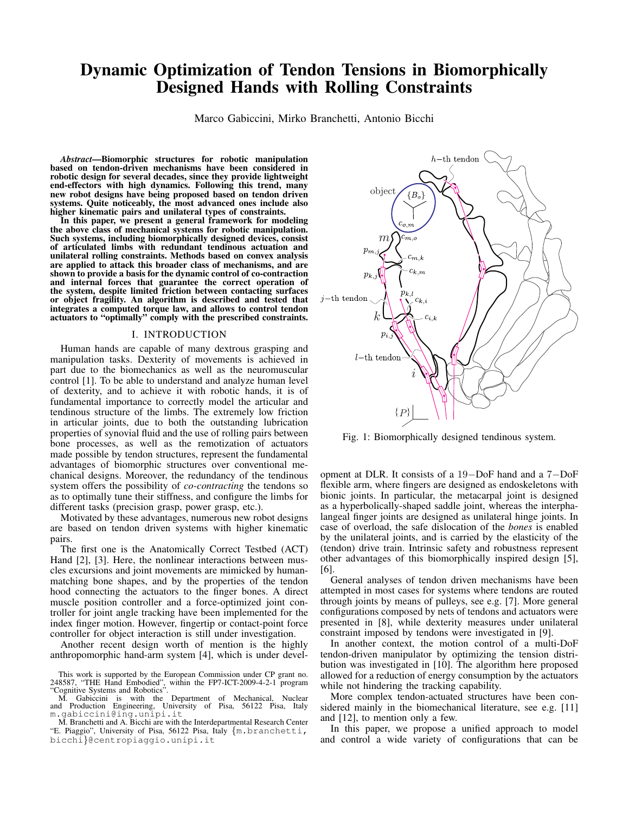# Dynamic Optimization of Tendon Tensions in Biomorphically Designed Hands with Rolling Constraints

Marco Gabiccini, Mirko Branchetti, Antonio Bicchi

*Abstract*—Biomorphic structures for robotic manipulation based on tendon-driven mechanisms have been considered in robotic design for several decades, since they provide lightweight end-effectors with high dynamics. Following this trend, many new robot designs have being proposed based on tendon driven systems. Quite noticeably, the most advanced ones include also higher kinematic pairs and unilateral types of constraints.

In this paper, we present a general framework for modeling the above class of mechanical systems for robotic manipulation. Such systems, including biomorphically designed devices, consist of articulated limbs with redundant tendinous actuation and unilateral rolling constraints. Methods based on convex analysis are applied to attack this broader class of mechanisms, and are shown to provide a basis for the dynamic control of co-contraction and internal forces that guarantee the correct operation of the system, despite limited friction between contacting surfaces or object fragility. An algorithm is described and tested that integrates a computed torque law, and allows to control tendon actuators to "optimally" comply with the prescribed constraints.

## I. INTRODUCTION

Human hands are capable of many dextrous grasping and manipulation tasks. Dexterity of movements is achieved in part due to the biomechanics as well as the neuromuscular control [1]. To be able to understand and analyze human level of dexterity, and to achieve it with robotic hands, it is of fundamental importance to correctly model the articular and tendinous structure of the limbs. The extremely low friction in articular joints, due to both the outstanding lubrication properties of synovial fluid and the use of rolling pairs between bone processes, as well as the remotization of actuators made possible by tendon structures, represent the fundamental advantages of biomorphic structures over conventional mechanical designs. Moreover, the redundancy of the tendinous system offers the possibility of *co-contracting* the tendons so as to optimally tune their stiffness, and configure the limbs for different tasks (precision grasp, power grasp, etc.).

Motivated by these advantages, numerous new robot designs are based on tendon driven systems with higher kinematic pairs.

The first one is the Anatomically Correct Testbed (ACT) Hand [2], [3]. Here, the nonlinear interactions between muscles excursions and joint movements are mimicked by humanmatching bone shapes, and by the properties of the tendon hood connecting the actuators to the finger bones. A direct muscle position controller and a force-optimized joint controller for joint angle tracking have been implemented for the index finger motion. However, fingertip or contact-point force controller for object interaction is still under investigation.

Another recent design worth of mention is the highly anthropomorphic hand-arm system [4], which is under devel-

This work is supported by the European Commission under CP grant no. 248587, "THE Hand Embodied", within the FP7-ICT-2009-4-2-1 program "Cognitive Systems and Robotics".

M. Gabiccini is with the Department of Mechanical, Nuclear and Production Engineering, University of Pisa, 56122 Pisa, Italy m.gabiccini@ing.unipi.it

M. Branchetti and A. Bicchi are with the Interdepartmental Research Center "E. Piaggio", University of Pisa, 56122 Pisa, Italy *{*m.branchetti, bicchi*}*@centropiaggio.unipi.it



Fig. 1: Biomorphically designed tendinous system.

opment at DLR. It consists of a 19*−*DoF hand and a 7*−*DoF flexible arm, where fingers are designed as endoskeletons with bionic joints. In particular, the metacarpal joint is designed as a hyperbolically-shaped saddle joint, whereas the interphalangeal finger joints are designed as unilateral hinge joints. In case of overload, the safe dislocation of the *bones* is enabled by the unilateral joints, and is carried by the elasticity of the (tendon) drive train. Intrinsic safety and robustness represent other advantages of this biomorphically inspired design [5], [6].

General analyses of tendon driven mechanisms have been attempted in most cases for systems where tendons are routed through joints by means of pulleys, see e.g. [7]. More general configurations composed by nets of tendons and actuators were presented in [8], while dexterity measures under unilateral constraint imposed by tendons were investigated in [9].

In another context, the motion control of a multi-DoF tendon-driven manipulator by optimizing the tension distribution was investigated in [10]. The algorithm here proposed allowed for a reduction of energy consumption by the actuators while not hindering the tracking capability.

More complex tendon-actuated structures have been considered mainly in the biomechanical literature, see e.g. [11] and [12], to mention only a few.

In this paper, we propose a unified approach to model and control a wide variety of configurations that can be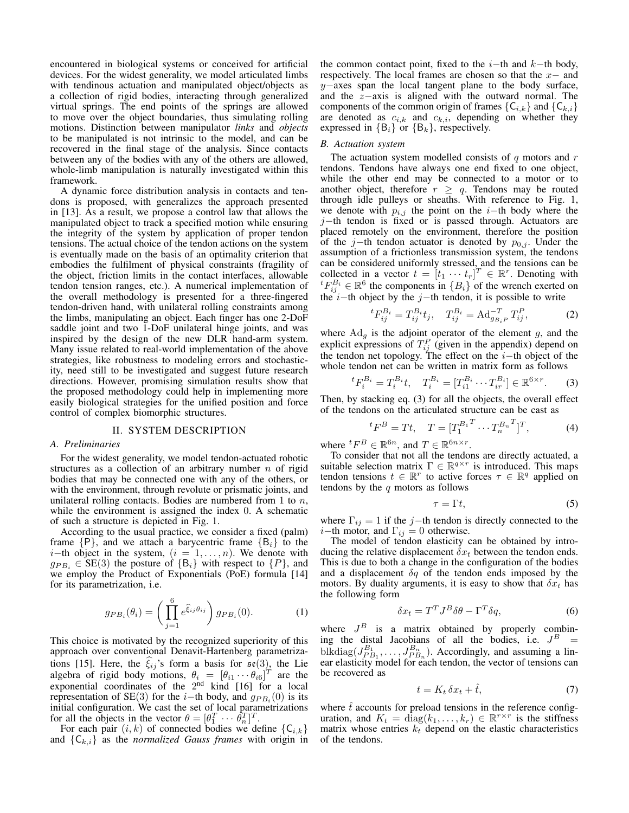encountered in biological systems or conceived for artificial devices. For the widest generality, we model articulated limbs with tendinous actuation and manipulated object/objects as a collection of rigid bodies, interacting through generalized virtual springs. The end points of the springs are allowed to move over the object boundaries, thus simulating rolling motions. Distinction between manipulator *links* and *objects* to be manipulated is not intrinsic to the model, and can be recovered in the final stage of the analysis. Since contacts between any of the bodies with any of the others are allowed, whole-limb manipulation is naturally investigated within this framework.

A dynamic force distribution analysis in contacts and tendons is proposed, with generalizes the approach presented in [13]. As a result, we propose a control law that allows the manipulated object to track a specified motion while ensuring the integrity of the system by application of proper tendon tensions. The actual choice of the tendon actions on the system is eventually made on the basis of an optimality criterion that embodies the fulfilment of physical constraints (fragility of the object, friction limits in the contact interfaces, allowable tendon tension ranges, etc.). A numerical implementation of the overall methodology is presented for a three-fingered tendon-driven hand, with unilateral rolling constraints among the limbs, manipulating an object. Each finger has one 2-DoF saddle joint and two 1-DoF unilateral hinge joints, and was inspired by the design of the new DLR hand-arm system. Many issue related to real-world implementation of the above strategies, like robustness to modeling errors and stochasticity, need still to be investigated and suggest future research directions. However, promising simulation results show that the proposed methodology could help in implementing more easily biological strategies for the unified position and force control of complex biomorphic structures.

## II. SYSTEM DESCRIPTION

## *A. Preliminaries*

For the widest generality, we model tendon-actuated robotic structures as a collection of an arbitrary number *n* of rigid bodies that may be connected one with any of the others, or with the environment, through revolute or prismatic joints, and unilateral rolling contacts. Bodies are numbered from 1 to *n*, while the environment is assigned the index 0. A schematic of such a structure is depicted in Fig. 1.

According to the usual practice, we consider a fixed (palm) frame  ${P}$ , and we attach a barycentric frame  ${B<sub>i</sub>}$  to the *i*<sup>−</sup>th object in the system, (*i* = 1, . . . , *n*). We denote with  $g_{PB_i} \in SE(3)$  the posture of  ${B_i}$  with respect to  ${P}$ , and we employ the Product of Exponentials (PoE) formula [14] for its parametrization, i.e.

$$
g_{PB_i}(\theta_i) = \left(\prod_{j=1}^6 e^{\widehat{\xi}_{ij}\theta_{ij}}\right) g_{PB_i}(0). \tag{1}
$$

This choice is motivated by the recognized superiority of this approach over conventional Denavit-Hartenberg parametrizations [15]. Here, the  $\xi_{ij}$ 's form a basis for  $\mathfrak{se}(3)$ , the Lie algebra of rigid body motions,  $\theta_i = [\theta_{i1} \cdots \theta_{i6}]^T$  are the exponential coordinates of the  $2<sup>nd</sup>$  kind [16] for a local representation of SE(3) for the *i−*th body, and *gP B<sup>i</sup>* (0) is its initial configuration. We cast the set of local parametrizations for all the objects in the vector  $\theta = [\theta_1^T \cdots \theta_n^T]^T$ .

For each pair  $(i, k)$  of connected bodies we define  ${C_{i,k}}$ and  ${C_{k,i}}$  as the *normalized Gauss frames* with origin in

the common contact point, fixed to the *i−*th and *k−*th body, respectively. The local frames are chosen so that the *x−* and *y*<sup>−</sup>axes span the local tangent plane to the body surface, and the *z−*axis is aligned with the outward normal. The components of the common origin of frames  ${C_{i,k}}$  and  ${C_{k,i}}$ are denoted as  $c_{i,k}$  and  $c_{k,i}$ , depending on whether they expressed in  ${B_i}$  or  ${B_k}$ , respectively.

## *B. Actuation system*

The actuation system modelled consists of *q* motors and *r* tendons. Tendons have always one end fixed to one object, while the other end may be connected to a motor or to another object, therefore  $r \geq q$ . Tendons may be routed through idle pulleys or sheaths. With reference to Fig. 1, we denote with  $p_{i,j}$  the point on the *i*−th body where the *j*−th tendon is fixed or is passed through. Actuators are placed remotely on the environment, therefore the position of the *j−*th tendon actuator is denoted by *p*0*,j* . Under the assumption of a frictionless transmission system, the tendons can be considered uniformly stressed, and the tensions can be collected in a vector  $t = [t_1 \cdots t_r]^T \in \mathbb{R}^r$ . Denoting with  ${}^{t}F_{ij}^{B_i} \in \mathbb{R}^{6}$  the components in  ${B_i}$  of the wrench exerted on the *i−*th object by the *j−*th tendon, it is possible to write

$$
{}^{t}F_{ij}^{B_i} = T_{ij}^{B_i}t_j, \quad T_{ij}^{B_i} = \operatorname{Ad}_{g_{B_i}P}^{-T} T_{ij}^P, \tag{2}
$$

where  $Ad<sub>g</sub>$  is the adjoint operator of the element  $g$ , and the explicit expressions of  $T_{ij}^P$  (given in the appendix) depend on the tendon net topology. The effect on the *i−*th object of the whole tendon net can be written in matrix form as follows

$$
{}^{t}F_{i}^{B_{i}} = T_{i}^{B_{i}}t, \quad T_{i}^{B_{i}} = [T_{i1}^{B_{i}} \cdots T_{ir}^{B_{i}}] \in \mathbb{R}^{6 \times r}.
$$
 (3)

Then, by stacking eq. (3) for all the objects, the overall effect of the tendons on the articulated structure can be cast as

$$
{}^{t}F^{B} = Tt, \quad T = [T_{1}^{B_{1}}^{T} \cdots T_{n}^{B_{n}}^{T}]^{T}, \tag{4}
$$

where  ${}^t F^B \in \mathbb{R}^{6n}$ , and  $T \in \mathbb{R}^{6n \times r}$ .

To consider that not all the tendons are directly actuated, a suitable selection matrix  $\Gamma \in \mathbb{R}^{q \times r}$  is introduced. This maps tendon tensions  $t \in \mathbb{R}^r$  to active forces  $\tau \in \mathbb{R}^q$  applied on tendons by the *q* motors as follows

$$
\tau = \Gamma t,\tag{5}
$$

where  $\Gamma_{ij} = 1$  if the *j*−th tendon is directly connected to the *i−*th motor, and  $\Gamma_{ij} = 0$  otherwise.

The model of tendon elasticity can be obtained by introducing the relative displacement *δx<sup>t</sup>* between the tendon ends. This is due to both a change in the configuration of the bodies and a displacement  $\delta q$  of the tendon ends imposed by the motors. By duality arguments, it is easy to show that  $\delta x_t$  has the following form

$$
\delta x_t = T^T J^B \delta \theta - \Gamma^T \delta q,\tag{6}
$$

where  $J^B$  is a matrix obtained by properly combining the distal Jacobians of all the bodies, i.e.  $J^B$  = blkdiag( $J_{PB_1}^{B_1}, \ldots, J_{PB_n}^{B_n}$ ). Accordingly, and assuming a linear elasticity model for each tendon, the vector of tensions can be recovered as

$$
t = K_t \, \delta x_t + \hat{t},\tag{7}
$$

where  $\hat{t}$  accounts for preload tensions in the reference configuration, and  $K_t = \text{diag}(k_1, \ldots, k_r) \in \mathbb{R}^{r \times r}$  is the stiffness matrix whose entries  $k_t$  depend on the elastic characteristics of the tendons.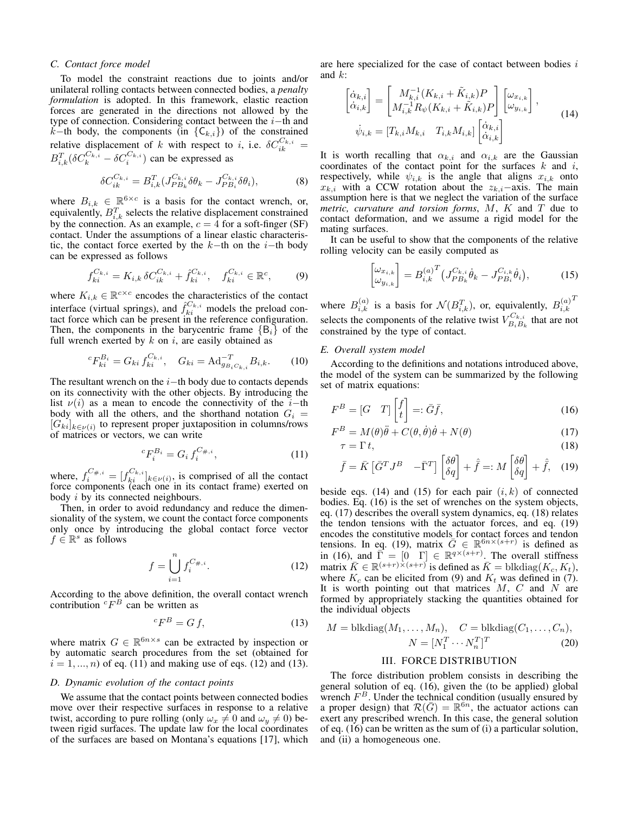## *C. Contact force model*

To model the constraint reactions due to joints and/or unilateral rolling contacts between connected bodies, a *penalty formulation* is adopted. In this framework, elastic reaction forces are generated in the directions not allowed by the type of connection. Considering contact between the *i−*th and *k−*th body, the components (in *{*C*k,i}*) of the constrained relative displacement of *k* with respect to *i*, i.e.  $\delta C_{ik}^{C_{k,i}} =$  $B_{i,k}^T(\delta C_k^{C_{k,i}} - \delta C_i^{C_{k,i}})$  can be expressed as

$$
\delta C_{ik}^{C_{k,i}} = B_{i,k}^T (J_{PB_k}^{C_{k,i}} \delta \theta_k - J_{PB_i}^{C_{k,i}} \delta \theta_i),
$$
\n(8)

where  $B_{i,k} \in \mathbb{R}^{6 \times c}$  is a basis for the contact wrench, or, equivalently,  $B_{i,k}^T$  selects the relative displacement constrained by the connection. As an example,  $c = 4$  for a soft-finger (SF) contact. Under the assumptions of a linear elastic characteristic, the contact force exerted by the *k−*th on the *i−*th body can be expressed as follows

$$
f_{ki}^{C_{k,i}} = K_{i,k} \, \delta C_{ik}^{C_{k,i}} + \hat{f}_{ki}^{C_{k,i}}, \quad f_{ki}^{C_{k,i}} \in \mathbb{R}^c, \tag{9}
$$

where  $K_{i,k} \in \mathbb{R}^{c \times c}$  encodes the characteristics of the contact interface (virtual springs), and  $\hat{f}_{ki}^{C_{k,i}}$  models the preload contact force which can be present in the reference configuration. Then, the components in the barycentric frame  ${B_i}$  of the full wrench exerted by *k* on *i*, are easily obtained as

$$
{}^{c}F_{ki}^{B_i} = G_{ki} f_{ki}^{C_{k,i}}, \quad G_{ki} = \mathrm{Ad}_{g_{B_i C_{k,i}}}^{-T} B_{i,k}.
$$
 (10)

The resultant wrench on the *i−*th body due to contacts depends on its connectivity with the other objects. By introducing the list  $\nu(i)$  as a mean to encode the connectivity of the *i*−th body with all the others, and the shorthand notation  $G_i$  = [*Gki*]*<sup>k</sup>∈ν*(*i*) to represent proper juxtaposition in columns/rows of matrices or vectors, we can write

$$
{}^{c}F_{i}^{B_{i}} = G_{i} f_{i}^{C_{\#,i}}, \tag{11}
$$

where,  $f_i^{C_{\neq,i}} = [f_{ki}^{C_{k,i}}]_{k \in \nu(i)}$ , is comprised of all the contact force components (each one in its contact frame) exerted on body *i* by its connected neighbours.

Then, in order to avoid redundancy and reduce the dimensionality of the system, we count the contact force components only once by introducing the global contact force vector  $f \in \mathbb{R}^s$  as follows

$$
f = \bigcup_{i=1}^{n} f_i^{C_{\#,i}}.
$$
 (12)

According to the above definition, the overall contact wrench contribution  ${}^cF^B$  can be written as

$$
{}^{c}F^{B} = G f,\tag{13}
$$

where matrix  $G \in \mathbb{R}^{6n \times s}$  can be extracted by inspection or by automatic search procedures from the set (obtained for  $i = 1, ..., n$ ) of eq. (11) and making use of eqs. (12) and (13).

# *D. Dynamic evolution of the contact points*

We assume that the contact points between connected bodies move over their respective surfaces in response to a relative twist, according to pure rolling (only  $\omega_x \neq 0$  and  $\omega_y \neq 0$ ) between rigid surfaces. The update law for the local coordinates of the surfaces are based on Montana's equations [17], which are here specialized for the case of contact between bodies *i* and *k*:

$$
\begin{bmatrix}\n\dot{\alpha}_{k,i} \\
\dot{\alpha}_{i,k}\n\end{bmatrix} = \begin{bmatrix}\nM_{k,i}^{-1}(K_{k,i} + \tilde{K}_{i,k})P \\
M_{i,k}^{-1}R_{\psi}(K_{k,i} + \tilde{K}_{i,k})P\n\end{bmatrix} \begin{bmatrix}\n\omega_{x_{i,k}} \\
\omega_{y_{i,k}}\n\end{bmatrix},
$$
\n
$$
\dot{\psi}_{i,k} = [T_{k,i}M_{k,i} \quad T_{i,k}M_{i,k}] \begin{bmatrix}\n\dot{\alpha}_{k,i} \\
\dot{\alpha}_{i,k}\n\end{bmatrix}
$$
\n(14)

It is worth recalling that  $\alpha_{k,i}$  and  $\alpha_{i,k}$  are the Gaussian coordinates of the contact point for the surfaces *k* and *i*, respectively, while  $\psi_{i,k}$  is the angle that aligns  $x_{i,k}$  onto  $x_{k,i}$  with a CCW rotation about the  $z_{k,i}$ *−*axis. The main assumption here is that we neglect the variation of the surface *metric, curvature and torsion forms*, *M*, *K* and *T* due to contact deformation, and we assume a rigid model for the mating surfaces.

It can be useful to show that the components of the relative rolling velocity can be easily computed as

$$
\begin{bmatrix} \omega_{x_{i,k}} \\ \omega_{y_{i,k}} \end{bmatrix} = B_{i,k}^{(a)^{T}} \big( J_{PB_{k}}^{C_{k,i}} \dot{\theta}_{k} - J_{PB_{i}}^{C_{i,k}} \dot{\theta}_{i} \big), \tag{15}
$$

where  $B_{i,k}^{(a)}$  is a basis for  $\mathcal{N}(B_{i,k}^T)$ , or, equivalently,  $B_{i,k}^{(a)}$  $i,k$ *T* selects the components of the relative twist  $V_{B,B}^{C_{k,i}}$  $B_i B_k$  that are not constrained by the type of contact.

# *E. Overall system model*

According to the definitions and notations introduced above, the model of the system can be summarized by the following set of matrix equations:

$$
F^{B} = [G \quad T] \begin{bmatrix} f \\ t \end{bmatrix} =: \bar{G}\bar{f},\tag{16}
$$

$$
F^{B} = M(\theta)\ddot{\theta} + C(\theta, \dot{\theta})\dot{\theta} + N(\theta)
$$
\n(17)

$$
\tau = \Gamma t,\tag{18}
$$

$$
\bar{f} = \bar{K} \begin{bmatrix} \bar{G}^T J^B & -\bar{\Gamma}^T \end{bmatrix} \begin{bmatrix} \delta \theta \\ \delta q \end{bmatrix} + \hat{f} =: M \begin{bmatrix} \delta \theta \\ \delta q \end{bmatrix} + \hat{f}, \quad (19)
$$

beside eqs.  $(14)$  and  $(15)$  for each pair  $(i, k)$  of connected bodies. Eq. (16) is the set of wrenches on the system objects, eq. (17) describes the overall system dynamics, eq. (18) relates the tendon tensions with the actuator forces, and eq. (19) encodes the constitutive models for contact forces and tendon tensions. In eq. (19), matrix  $\bar{G} \in \mathbb{R}^{6n \times (s+r)}$  is defined as in (16), and  $\overline{\Gamma} = [0 \quad \Gamma] \in \mathbb{R}^{q \times (s+r)}$ . The overall stiffness  $\text{matrix } \overline{K} \in \mathbb{R}^{(s+r)\times (s+r)}$  is defined as  $\overline{K} = \text{blkdiag}(K_c, K_t)$ , where  $K_c$  can be elicited from (9) and  $K_t$  was defined in (7). It is worth pointing out that matrices *M*, *C* and *N* are formed by appropriately stacking the quantities obtained for the individual objects

$$
M = \text{blkdiag}(M_1, \dots, M_n), \quad C = \text{blkdiag}(C_1, \dots, C_n),
$$

$$
N = [N_1^T \cdots N_n^T]^T \tag{20}
$$

# III. FORCE DISTRIBUTION

The force distribution problem consists in describing the general solution of eq. (16), given the (to be applied) global wrench  $F^B$ . Under the technical condition (usually ensured by a proper design) that  $\mathcal{R}(\bar{G}) = \mathbb{R}^{6n}$ , the actuator actions can exert any prescribed wrench. In this case, the general solution of eq. (16) can be written as the sum of (i) a particular solution, and (ii) a homogeneous one.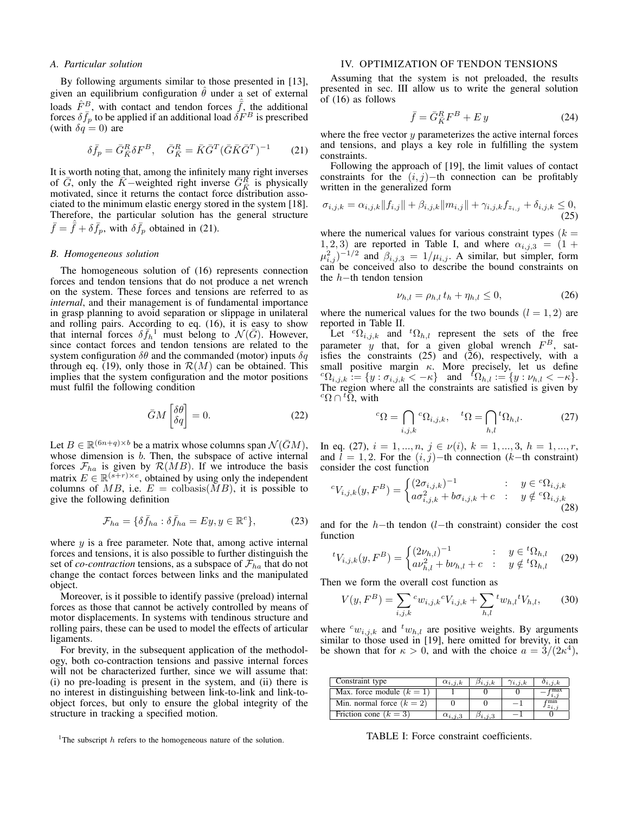## *A. Particular solution*

By following arguments similar to those presented in [13], given an equilibrium configuration  $\hat{\theta}$  under a set of external loads  $\hat{F}^B$ , with contact and tendon forces  $\hat{f}$ , the additional forces  $\delta \bar{f}_p$  to be applied if an additional load  $\delta F^B$  is prescribed (with  $\delta q = 0$ ) are

$$
\delta \bar{f}_p = \bar{G}_{\bar{K}}^R \delta F^B, \quad \bar{G}_{\bar{K}}^R = \bar{K} \bar{G}^T (\bar{G} \bar{K} \bar{G}^T)^{-1} \tag{21}
$$

It is worth noting that, among the infinitely many right inverses of  $\overline{G}$ , only the  $\overline{K}$ −weighted right inverse  $\overline{G}_{\overline{K}}^R$  is physically motivated, since it returns the contact force distribution associated to the minimum elastic energy stored in the system [18]. Therefore, the particular solution has the general structure  $\bar{f} = \hat{f} + \delta \bar{f}_p$ , with  $\delta \bar{f}_p$  obtained in (21).

## *B. Homogeneous solution*

The homogeneous solution of (16) represents connection forces and tendon tensions that do not produce a net wrench on the system. These forces and tensions are referred to as *internal*, and their management is of fundamental importance in grasp planning to avoid separation or slippage in unilateral and rolling pairs. According to eq. (16), it is easy to show that internal forces  $\delta \bar{f}_h^{\phantom{h}1}$  must belong to  $\mathcal{N}(\bar{G})$ . However, since contact forces and tendon tensions are related to the system configuration *δθ* and the commanded (motor) inputs *δq* through eq. (19), only those in  $\mathcal{R}(M)$  can be obtained. This implies that the system configuration and the motor positions must fulfil the following condition

$$
\bar{G}M\begin{bmatrix} \delta\theta\\ \delta q \end{bmatrix} = 0.
$$
 (22)

Let  $B \in \mathbb{R}^{(6n+q)\times b}$  be a matrix whose columns span  $\mathcal{N}(\bar{G}M)$ , whose dimension is *b*. Then, the subspace of active internal forces  $\mathcal{F}_{ha}$  is given by  $\mathcal{R}(MB)$ . If we introduce the basis matrix  $E \in \mathbb{R}^{(s+r)\times e}$ , obtained by using only the independent columns of  $MB$ , i.e.  $E = \text{colbasis}(MB)$ , it is possible to give the following definition

$$
\mathcal{F}_{ha} = \{ \delta \bar{f}_{ha} : \delta \bar{f}_{ha} = Ey, y \in \mathbb{R}^e \},\tag{23}
$$

where *y* is a free parameter. Note that, among active internal forces and tensions, it is also possible to further distinguish the set of *co-contraction* tensions, as a subspace of  $\mathcal{F}_{ha}$  that do not change the contact forces between links and the manipulated object.

Moreover, is it possible to identify passive (preload) internal forces as those that cannot be actively controlled by means of motor displacements. In systems with tendinous structure and rolling pairs, these can be used to model the effects of articular ligaments.

For brevity, in the subsequent application of the methodology, both co-contraction tensions and passive internal forces will not be characterized further, since we will assume that: (i) no pre-loading is present in the system, and (ii) there is no interest in distinguishing between link-to-link and link-toobject forces, but only to ensure the global integrity of the structure in tracking a specified motion.

## IV. OPTIMIZATION OF TENDON TENSIONS

Assuming that the system is not preloaded, the results presented in sec. III allow us to write the general solution of (16) as follows

$$
\bar{f} = \bar{G}_{\bar{K}}^R F^B + E y \tag{24}
$$

where the free vector *y* parameterizes the active internal forces and tensions, and plays a key role in fulfilling the system constraints.

Following the approach of [19], the limit values of contact constraints for the (*i, j*)*−*th connection can be profitably written in the generalized form

$$
\sigma_{i,j,k} = \alpha_{i,j,k} ||f_{i,j}|| + \beta_{i,j,k} ||m_{i,j}|| + \gamma_{i,j,k} f_{z_{i,j}} + \delta_{i,j,k} \leq 0,
$$
\n(25)

where the numerical values for various constraint types  $(k =$ 1, 2, 3) are reported in Table I, and where  $\alpha_{i,j,3} = (1 +$  $\mu_{i,j}^2$  $\rangle^{-1/2}$  and  $\beta_{i,j,3} = 1/\mu_{i,j}$ . A similar, but simpler, form can be conceived also to describe the bound constraints on the *h−*th tendon tension

$$
\nu_{h,l} = \rho_{h,l} \, t_h + \eta_{h,l} \le 0,\tag{26}
$$

where the numerical values for the two bounds  $(l = 1, 2)$  are reported in Table II.

Let  ${}^{c}\Omega_{i,j,k}$  and  ${}^{t}\Omega_{h,l}$  represent the sets of the free parameter  $\hat{y}$  that, for a given global wrench  $F^B$ , satisfies the constraints  $(25)$  and  $(26)$ , respectively, with a small positive margin *κ*. More precisely, let us define  ${}^{c}\Omega_{i,j,k} := \{y : \sigma_{i,j,k} < -\kappa\}$  and  ${}^{t}\Omega_{h,l} := \{y : \nu_{h,l} < -\kappa\}.$ The region where all the constraints are satisfied is given by  ${}^c\Omega \cap {}^t\tilde{\Omega}$ , with

$$
{}^{c}\Omega = \bigcap_{i,j,k} {}^{c}\Omega_{i,j,k}, \quad {}^{t}\Omega = \bigcap_{h,l} {}^{t}\Omega_{h,l}.
$$
 (27)

In eq. (27),  $i = 1, ..., n, j \in \nu(i), k = 1, ..., 3, h = 1, ..., r$ , and  $l = 1, 2$ . For the  $(i, j)$ −th connection ( $k$ −th constraint) consider the cost function

$$
{}^{c}V_{i,j,k}(y,F^{B}) = \begin{cases} (2\sigma_{i,j,k})^{-1} & \colon y \in {}^{c}\Omega_{i,j,k} \\ a\sigma_{i,j,k}^{2} + b\sigma_{i,j,k} + c & \colon y \notin {}^{c}\Omega_{i,j,k} \end{cases}
$$
(28)

and for the *h−*th tendon (*l−*th constraint) consider the cost function

$$
{}^{t}V_{i,j,k}(y, F^{B}) = \begin{cases} (2\nu_{h,l})^{-1} & \colon y \in {}^{t}\Omega_{h,l} \\ av_{h,l}^{2} + b\nu_{h,l} + c & \colon y \notin {}^{t}\Omega_{h,l} \end{cases}
$$
(29)

Then we form the overall cost function as

$$
V(y, F^{B}) = \sum_{i,j,k} {^{c}w_{i,j,k}} {^{c}V_{i,j,k}} + \sum_{h,l} {^{t}w_{h,l}} {^{t}V_{h,l}},
$$
 (30)

where  $c_{w_{i,j,k}}$  and  $c_{w_{h,l}}$  are positive weights. By arguments similar to those used in [19], here omitted for brevity, it can be shown that for  $\kappa > 0$ , and with the choice  $a = \frac{3}{2\pi}$ .

| Constraint type             | $\alpha_{i,j,k}$ | $\beta_{i,j,k}$ | $\gamma_{i,j,k}$ | $o_{i,j,k}$ |
|-----------------------------|------------------|-----------------|------------------|-------------|
| Max. force module $(k = 1)$ |                  |                 |                  |             |
| Min. normal force $(k = 2)$ |                  |                 |                  |             |
| Friction cone $(k = 3)$     | $\alpha_{i,j,3}$ |                 |                  |             |

TABLE I: Force constraint coefficients.

<sup>&</sup>lt;sup>1</sup>The subscript *h* refers to the homogeneous nature of the solution.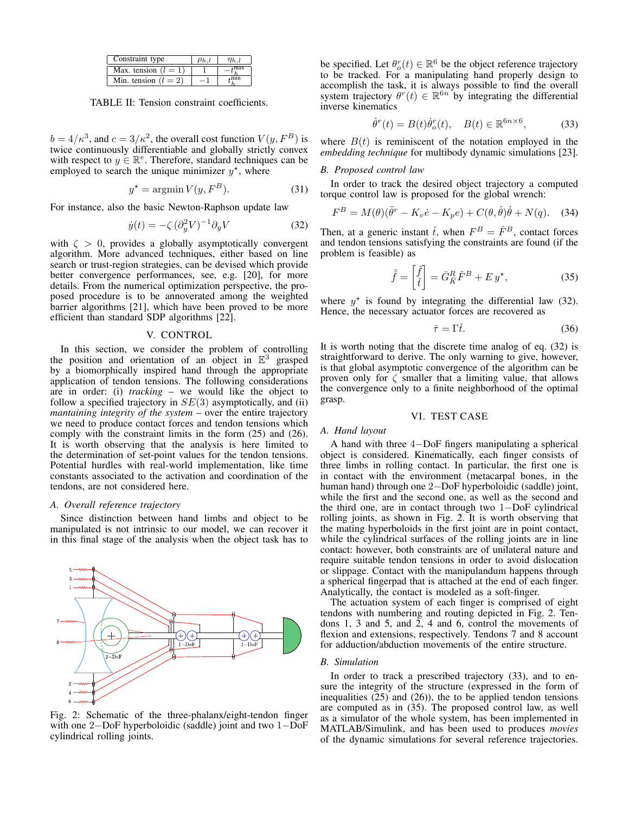| Constraint type        |  |  |
|------------------------|--|--|
| Max. tension $(l = 1)$ |  |  |
| Min. tension $(l = 2)$ |  |  |

TABLE II: Tension constraint coefficients.

 $b = 4/\kappa^3$ , and  $c = 3/\kappa^2$ , the overall cost function  $V(y, F^B)$  is twice continuously differentiable and globally strictly convex with respect to  $y \in \mathbb{R}^e$ . Therefore, standard techniques can be employed to search the unique minimizer  $y^*$ , where

$$
y^* = \operatorname{argmin} V(y, F^B). \tag{31}
$$

For instance, also the basic Newton-Raphson update law

$$
\dot{y}(t) = -\zeta \, (\partial_y^2 V)^{-1} \partial_y V \tag{32}
$$

with  $\zeta > 0$ , provides a globally asymptotically convergent algorithm. More advanced techniques, either based on line search or trust-region strategies, can be devised which provide better convergence performances, see, e.g. [20], for more details. From the numerical optimization perspective, the proposed procedure is to be annoverated among the weighted barrier algorithms [21], which have been proved to be more efficient than standard SDP algorithms [22].

#### V. CONTROL

In this section, we consider the problem of controlling the position and orientation of an object in  $\mathbb{E}^3$  grasped by a biomorphically inspired hand through the appropriate application of tendon tensions. The following considerations are in order: (i) *tracking* – we would like the object to follow a specified trajectory in *SE*(3) asymptotically, and (ii) *mantaining integrity of the system* – over the entire trajectory we need to produce contact forces and tendon tensions which comply with the constraint limits in the form (25) and (26). It is worth observing that the analysis is here limited to the determination of set-point values for the tendon tensions. Potential hurdles with real-world implementation, like time constants associated to the activation and coordination of the tendons, are not considered here.

## *A. Overall reference trajectory*

Since distinction between hand limbs and object to be manipulated is not intrinsic to our model, we can recover it in this final stage of the analysis when the object task has to



Fig. 2: Schematic of the three-phalanx/eight-tendon finger with one 2*−*DoF hyperboloidic (saddle) joint and two 1*−*DoF cylindrical rolling joints.

be specified. Let  $\theta_o^r(t) \in \mathbb{R}^6$  be the object reference trajectory to be tracked. For a manipulating hand properly design to accomplish the task, it is always possible to find the overall system trajectory  $\theta^r(t) \in \mathbb{R}^{6n}$  by integrating the differential inverse kinematics

$$
\dot{\theta}^r(t) = B(t)\dot{\theta}_o^r(t), \quad B(t) \in \mathbb{R}^{6n \times 6}, \tag{33}
$$

where  $B(t)$  is reminiscent of the notation employed in the *embedding technique* for multibody dynamic simulations [23].

## *B. Proposed control law*

In order to track the desired object trajectory a computed torque control law is proposed for the global wrench:

$$
F^{B} = M(\theta)(\ddot{\theta}^{r} - K_{v}\dot{e} - K_{p}e) + C(\theta, \dot{\theta})\dot{\theta} + N(q). \quad (34)
$$

Then, at a generic instant  $\tilde{t}$ , when  $F^B = \tilde{F}^B$ , contact forces and tendon tensions satisfying the constraints are found (if the problem is feasible) as

$$
\tilde{\bar{f}} = \begin{bmatrix} \tilde{f} \\ \tilde{t} \end{bmatrix} = \bar{G}_{\bar{K}}^R \tilde{F}^B + E y^\star,\tag{35}
$$

where  $y^*$  is found by integrating the differential law (32). Hence, the necessary actuator forces are recovered as

$$
\check{\tau} = \Gamma \check{t}.\tag{36}
$$

It is worth noting that the discrete time analog of eq. (32) is straightforward to derive. The only warning to give, however, is that global asymptotic convergence of the algorithm can be proven only for  $\zeta$  smaller that a limiting value, that allows the convergence only to a finite neighborhood of the optimal grasp.

## VI. TEST CASE

## *A. Hand layout*

A hand with three 4*−*DoF fingers manipulating a spherical object is considered. Kinematically, each finger consists of three limbs in rolling contact. In particular, the first one is in contact with the environment (metacarpal bones, in the human hand) through one 2*−*DoF hyperboloidic (saddle) joint, while the first and the second one, as well as the second and the third one, are in contact through two 1*−*DoF cylindrical rolling joints, as shown in Fig. 2. It is worth observing that the mating hyperboloids in the first joint are in point contact, while the cylindrical surfaces of the rolling joints are in line contact: however, both constraints are of unilateral nature and require suitable tendon tensions in order to avoid dislocation or slippage. Contact with the manipulandum happens through a spherical fingerpad that is attached at the end of each finger. Analytically, the contact is modeled as a soft-finger.

The actuation system of each finger is comprised of eight tendons with numbering and routing depicted in Fig. 2. Tendons 1, 3 and 5, and 2, 4 and 6, control the movements of flexion and extensions, respectively. Tendons 7 and 8 account for adduction/abduction movements of the entire structure.

## *B. Simulation*

In order to track a prescribed trajectory (33), and to ensure the integrity of the structure (expressed in the form of inequalities (25) and (26)), the to be applied tendon tensions are computed as in (35). The proposed control law, as well as a simulator of the whole system, has been implemented in MATLAB/Simulink, and has been used to produces *movies* of the dynamic simulations for several reference trajectories.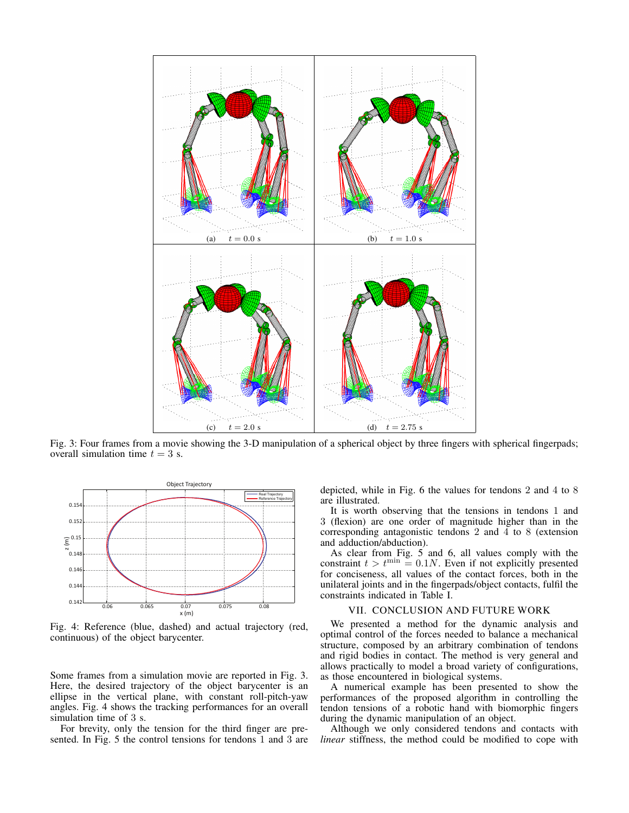

Fig. 3: Four frames from a movie showing the 3-D manipulation of a spherical object by three fingers with spherical fingerpads; overall simulation time  $t = 3$  s.



Fig. 4: Reference (blue, dashed) and actual trajectory (red, continuous) of the object barycenter.

Some frames from a simulation movie are reported in Fig. 3. Here, the desired trajectory of the object barycenter is an ellipse in the vertical plane, with constant roll-pitch-yaw angles. Fig. 4 shows the tracking performances for an overall simulation time of 3 s.

For brevity, only the tension for the third finger are presented. In Fig. 5 the control tensions for tendons 1 and 3 are depicted, while in Fig. 6 the values for tendons 2 and 4 to 8 are illustrated.

It is worth observing that the tensions in tendons 1 and 3 (flexion) are one order of magnitude higher than in the corresponding antagonistic tendons 2 and 4 to 8 (extension and adduction/abduction).

As clear from Fig. 5 and 6, all values comply with the constraint  $t > t^{\min} = 0.1N$ . Even if not explicitly presented for conciseness, all values of the contact forces, both in the unilateral joints and in the fingerpads/object contacts, fulfil the constraints indicated in Table I.

# VII. CONCLUSION AND FUTURE WORK

We presented a method for the dynamic analysis and optimal control of the forces needed to balance a mechanical structure, composed by an arbitrary combination of tendons and rigid bodies in contact. The method is very general and allows practically to model a broad variety of configurations, as those encountered in biological systems.

A numerical example has been presented to show the performances of the proposed algorithm in controlling the tendon tensions of a robotic hand with biomorphic fingers during the dynamic manipulation of an object.

Although we only considered tendons and contacts with *linear* stiffness, the method could be modified to cope with